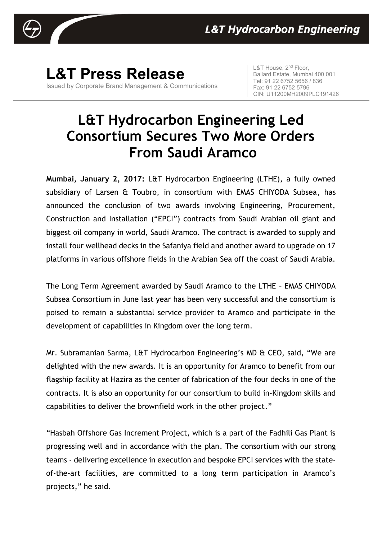

**L&T Press Release** Issued by Corporate Brand Management & Communications

L&T House, 2<sup>nd</sup> Floor, Ballard Estate, Mumbai 400 001 Tel: 91 22 6752 5656 / 836 Fax: 91 22 6752 5796 CIN: U11200MH2009PLC191426

## **L&T Hydrocarbon Engineering Led Consortium Secures Two More Orders From Saudi Aramco**

**Mumbai, January 2, 2017:** L&T Hydrocarbon Engineering (LTHE), a fully owned subsidiary of Larsen & Toubro, in consortium with EMAS CHIYODA Subsea, has announced the conclusion of two awards involving Engineering, Procurement, Construction and Installation ("EPCI") contracts from Saudi Arabian oil giant and biggest oil company in world, Saudi Aramco. The contract is awarded to supply and install four wellhead decks in the Safaniya field and another award to upgrade on 17 platforms in various offshore fields in the Arabian Sea off the coast of Saudi Arabia.

The Long Term Agreement awarded by Saudi Aramco to the LTHE – EMAS CHIYODA Subsea Consortium in June last year has been very successful and the consortium is poised to remain a substantial service provider to Aramco and participate in the development of capabilities in Kingdom over the long term.

Mr. Subramanian Sarma, L&T Hydrocarbon Engineering's MD & CEO, said, "We are delighted with the new awards. It is an opportunity for Aramco to benefit from our flagship facility at Hazira as the center of fabrication of the four decks in one of the contracts. It is also an opportunity for our consortium to build in-Kingdom skills and capabilities to deliver the brownfield work in the other project."

"Hasbah Offshore Gas Increment Project, which is a part of the Fadhili Gas Plant is progressing well and in accordance with the plan. The consortium with our strong teams - delivering excellence in execution and bespoke EPCI services with the stateof-the-art facilities, are committed to a long term participation in Aramco's projects," he said.